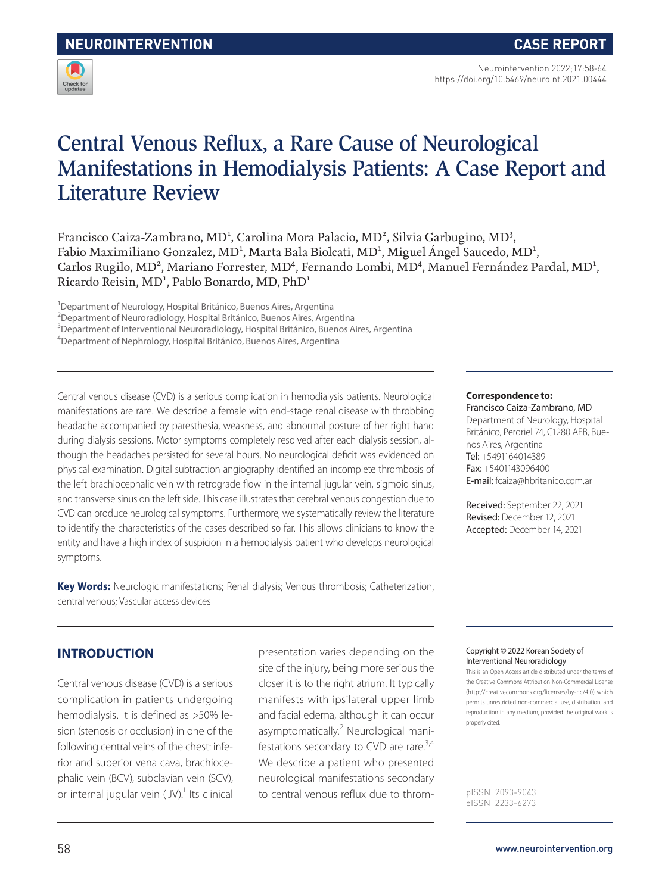

Neurointervention 2022;17:58-64 https://doi.org/10.5469/neuroint.2021.00444

# Central Venous Reflux, a Rare Cause of Neurological Manifestations in Hemodialysis Patients: A Case Report and Literature Review

Francisco Caiza-Zambrano, MD<sup>1</sup>, Carolina Mora Palacio, MD<sup>2</sup>, Silvia Garbugino, MD<sup>3</sup>, Fabio Maximiliano Gonzalez, MD<sup>1</sup>, Marta Bala Biolcati, MD<sup>1</sup>, Miguel Ángel Saucedo, MD<sup>1</sup>, Carlos Rugilo, MD<sup>2</sup>, Mariano Forrester, MD<sup>4</sup>, Fernando Lombi, MD<sup>4</sup>, Manuel Fernández Pardal, MD<sup>1</sup>, Ricardo Reisin, MD<sup>1</sup>, Pablo Bonardo, MD, PhD<sup>1</sup>

<sup>1</sup>Department of Neurology, Hospital Británico, Buenos Aires, Argentina

<sup>2</sup>Department of Neuroradiology, Hospital Británico, Buenos Aires, Argentina

<sup>3</sup>Department of Interventional Neuroradiology, Hospital Británico, Buenos Aires, Argentina

4 Department of Nephrology, Hospital Británico, Buenos Aires, Argentina

Central venous disease (CVD) is a serious complication in hemodialysis patients. Neurological manifestations are rare. We describe a female with end-stage renal disease with throbbing headache accompanied by paresthesia, weakness, and abnormal posture of her right hand during dialysis sessions. Motor symptoms completely resolved after each dialysis session, although the headaches persisted for several hours. No neurological deficit was evidenced on physical examination. Digital subtraction angiography identified an incomplete thrombosis of the left brachiocephalic vein with retrograde flow in the internal jugular vein, sigmoid sinus, and transverse sinus on the left side. This case illustrates that cerebral venous congestion due to CVD can produce neurological symptoms. Furthermore, we systematically review the literature to identify the characteristics of the cases described so far. This allows clinicians to know the entity and have a high index of suspicion in a hemodialysis patient who develops neurological symptoms.

**Key Words:** Neurologic manifestations; Renal dialysis; Venous thrombosis; Catheterization, central venous; Vascular access devices

#### **Correspondence to:**

Francisco Caiza-Zambrano, MD Department of Neurology, Hospital Británico, Perdriel 74, C1280 AEB, Buenos Aires, Argentina Tel: +5491164014389 Fax: +5401143096400 E-mail: fcaiza@hbritanico.com.ar

Received: September 22, 2021 Revised: December 12, 2021 Accepted: December 14, 2021

# **INTRODUCTION**

Central venous disease (CVD) is a serious complication in patients undergoing hemodialysis. It is defined as >50% lesion (stenosis or occlusion) in one of the following central veins of the chest: inferior and superior vena cava, brachiocephalic vein (BCV), subclavian vein (SCV), or internal jugular vein (IJV).<sup>1</sup> Its clinical presentation varies depending on the site of the injury, being more serious the closer it is to the right atrium. It typically manifests with ipsilateral upper limb and facial edema, although it can occur asymptomatically.<sup>2</sup> Neurological manifestations secondary to CVD are rare.<sup>3,4</sup> We describe a patient who presented neurological manifestations secondary to central venous reflux due to throm-

#### Copyright © 2022 Korean Society of Interventional Neuroradiology

This is an Open Access article distributed under the terms of the Creative Commons Attribution Non-Commercial License (http://creativecommons.org/licenses/by-nc/4.0) which permits unrestricted non-commercial use, distribution, and reproduction in any medium, provided the original work is properly cited.

pISSN 2093-9043 eISSN 2233-6273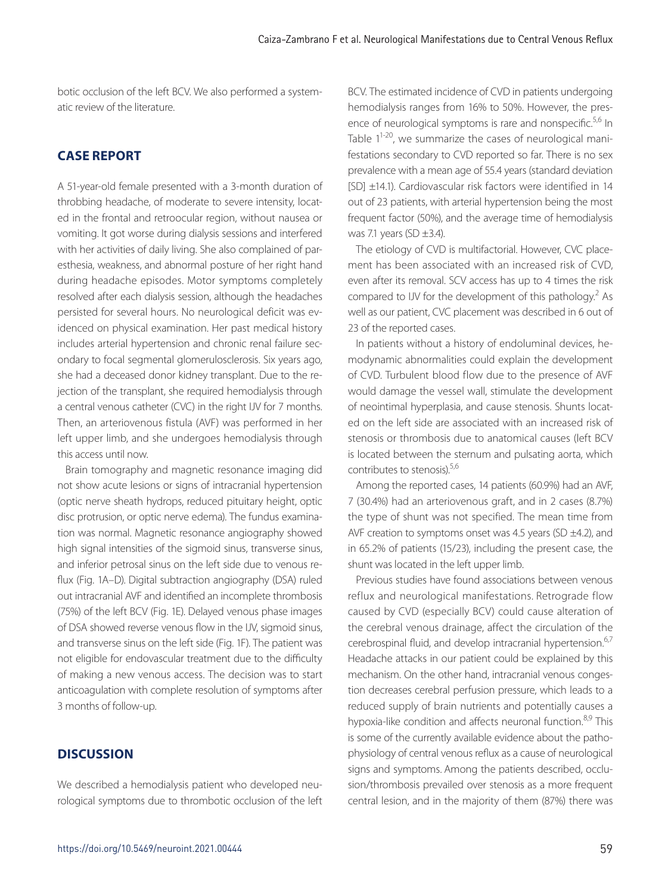botic occlusion of the left BCV. We also performed a systematic review of the literature.

# **CASE REPORT**

A 51-year-old female presented with a 3-month duration of throbbing headache, of moderate to severe intensity, located in the frontal and retroocular region, without nausea or vomiting. It got worse during dialysis sessions and interfered with her activities of daily living. She also complained of paresthesia, weakness, and abnormal posture of her right hand during headache episodes. Motor symptoms completely resolved after each dialysis session, although the headaches persisted for several hours. No neurological deficit was evidenced on physical examination. Her past medical history includes arterial hypertension and chronic renal failure secondary to focal segmental glomerulosclerosis. Six years ago, she had a deceased donor kidney transplant. Due to the rejection of the transplant, she required hemodialysis through a central venous catheter (CVC) in the right IJV for 7 months. Then, an arteriovenous fistula (AVF) was performed in her left upper limb, and she undergoes hemodialysis through this access until now.

Brain tomography and magnetic resonance imaging did not show acute lesions or signs of intracranial hypertension (optic nerve sheath hydrops, reduced pituitary height, optic disc protrusion, or optic nerve edema). The fundus examination was normal. Magnetic resonance angiography showed high signal intensities of the sigmoid sinus, transverse sinus, and inferior petrosal sinus on the left side due to venous reflux (Fig. 1A–D). Digital subtraction angiography (DSA) ruled out intracranial AVF and identified an incomplete thrombosis (75%) of the left BCV (Fig. 1E). Delayed venous phase images of DSA showed reverse venous flow in the IJV, sigmoid sinus, and transverse sinus on the left side (Fig. 1F). The patient was not eligible for endovascular treatment due to the difficulty of making a new venous access. The decision was to start anticoagulation with complete resolution of symptoms after 3 months of follow-up.

# **DISCUSSION**

We described a hemodialysis patient who developed neurological symptoms due to thrombotic occlusion of the left

BCV. The estimated incidence of CVD in patients undergoing hemodialysis ranges from 16% to 50%. However, the presence of neurological symptoms is rare and nonspecific.<sup>5,6</sup> In Table  $1^{1-20}$ , we summarize the cases of neurological manifestations secondary to CVD reported so far. There is no sex prevalence with a mean age of 55.4 years (standard deviation [SD] ±14.1). Cardiovascular risk factors were identified in 14 out of 23 patients, with arterial hypertension being the most frequent factor (50%), and the average time of hemodialysis was 7.1 years (SD  $\pm$ 3.4).

The etiology of CVD is multifactorial. However, CVC placement has been associated with an increased risk of CVD, even after its removal. SCV access has up to 4 times the risk compared to IJV for the development of this pathology.<sup>2</sup> As well as our patient, CVC placement was described in 6 out of 23 of the reported cases.

In patients without a history of endoluminal devices, hemodynamic abnormalities could explain the development of CVD. Turbulent blood flow due to the presence of AVF would damage the vessel wall, stimulate the development of neointimal hyperplasia, and cause stenosis. Shunts located on the left side are associated with an increased risk of stenosis or thrombosis due to anatomical causes (left BCV is located between the sternum and pulsating aorta, which contributes to stenosis).5,6

Among the reported cases, 14 patients (60.9%) had an AVF, 7 (30.4%) had an arteriovenous graft, and in 2 cases (8.7%) the type of shunt was not specified. The mean time from AVF creation to symptoms onset was 4.5 years (SD  $\pm$ 4.2), and in 65.2% of patients (15/23), including the present case, the shunt was located in the left upper limb.

Previous studies have found associations between venous reflux and neurological manifestations. Retrograde flow caused by CVD (especially BCV) could cause alteration of the cerebral venous drainage, affect the circulation of the cerebrospinal fluid, and develop intracranial hypertension.<sup>6,7</sup> Headache attacks in our patient could be explained by this mechanism. On the other hand, intracranial venous congestion decreases cerebral perfusion pressure, which leads to a reduced supply of brain nutrients and potentially causes a hypoxia-like condition and affects neuronal function.<sup>8,9</sup> This is some of the currently available evidence about the pathophysiology of central venous reflux as a cause of neurological signs and symptoms. Among the patients described, occlusion/thrombosis prevailed over stenosis as a more frequent central lesion, and in the majority of them (87%) there was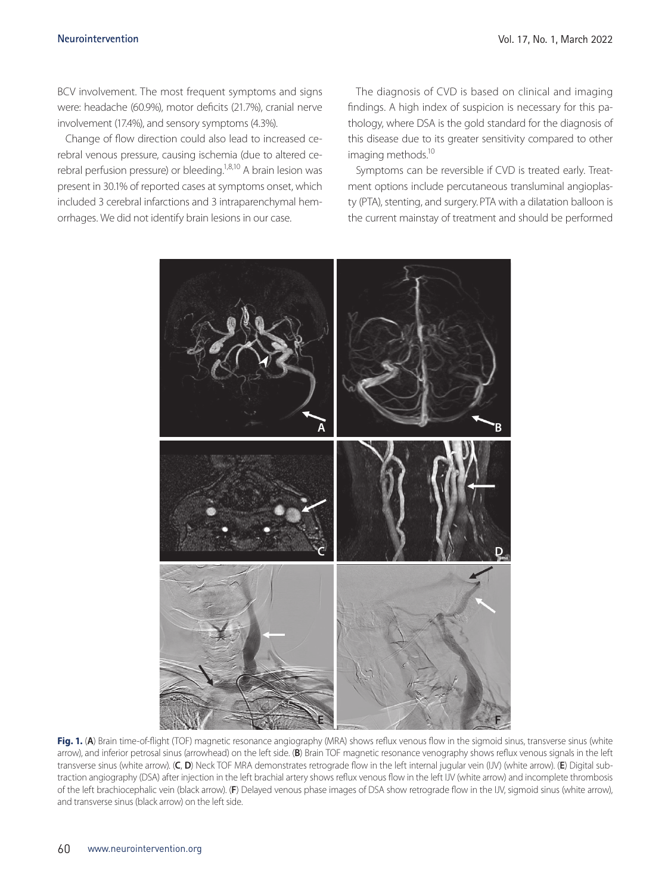BCV involvement. The most frequent symptoms and signs were: headache (60.9%), motor deficits (21.7%), cranial nerve involvement (17.4%), and sensory symptoms (4.3%).

Change of flow direction could also lead to increased cerebral venous pressure, causing ischemia (due to altered cerebral perfusion pressure) or bleeding.<sup>1,8,10</sup> A brain lesion was present in 30.1% of reported cases at symptoms onset, which included 3 cerebral infarctions and 3 intraparenchymal hemorrhages. We did not identify brain lesions in our case.

The diagnosis of CVD is based on clinical and imaging findings. A high index of suspicion is necessary for this pathology, where DSA is the gold standard for the diagnosis of this disease due to its greater sensitivity compared to other imaging methods.<sup>10</sup>

Symptoms can be reversible if CVD is treated early. Treatment options include percutaneous transluminal angioplasty (PTA), stenting, and surgery. PTA with a dilatation balloon is the current mainstay of treatment and should be performed



Fig. 1. (A) Brain time-of-flight (TOF) magnetic resonance angiography (MRA) shows reflux venous flow in the sigmoid sinus, transverse sinus (white arrow), and inferior petrosal sinus (arrowhead) on the left side. (**B**) Brain TOF magnetic resonance venography shows reflux venous signals in the left transverse sinus (white arrow). (**C**, **D**) Neck TOF MRA demonstrates retrograde flow in the left internal jugular vein (IJV) (white arrow). (**E**) Digital subtraction angiography (DSA) after injection in the left brachial artery shows reflux venous flow in the left IJV (white arrow) and incomplete thrombosis of the left brachiocephalic vein (black arrow). (**F**) Delayed venous phase images of DSA show retrograde flow in the IJV, sigmoid sinus (white arrow), and transverse sinus (black arrow) on the left side.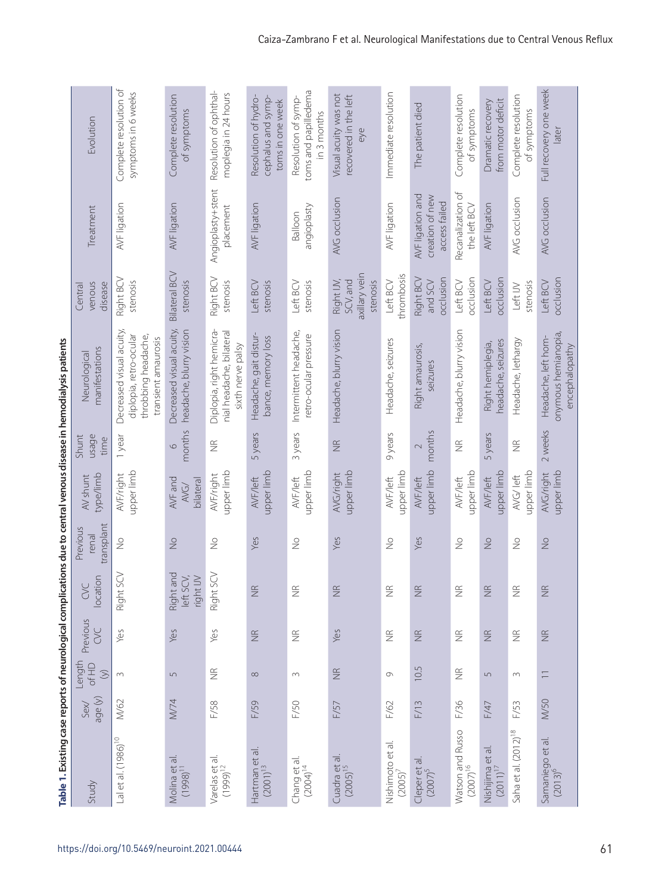|                                          |                 |                            |                    |                                     |                                 |                                |                        | lable i. Existing case reports or inequiring the complete controller in the central verion which contains the conditional version of the condition of the condition of the condition of the condition of the condition of the |                                                     |                                                      |                                                                |
|------------------------------------------|-----------------|----------------------------|--------------------|-------------------------------------|---------------------------------|--------------------------------|------------------------|-------------------------------------------------------------------------------------------------------------------------------------------------------------------------------------------------------------------------------|-----------------------------------------------------|------------------------------------------------------|----------------------------------------------------------------|
| Study                                    | age (y)<br>Sex/ | Length<br>of HD<br>$\odot$ | Previous<br>SC     | location<br>CVC                     | transplant<br>Previous<br>renal | type/limb<br>AV shunt          | usage<br>Shunt<br>time | manifestations<br>Neurologica                                                                                                                                                                                                 | venous<br>disease<br>Central                        | Treatment                                            | Evolution                                                      |
| Lal et al. (1986) <sup>10</sup>          | M/62            | $\sim$                     | Yes                | SCV<br>Right                        | $\frac{0}{2}$                   | upper limb<br><b>AVF/right</b> | 1 year                 | Decreased visual acuity,<br>diplopia, retro-ocular<br>throbbing headache,<br>transient amaurosis                                                                                                                              | Right BCV<br>stenosis                               | AVF ligation                                         | Complete resolution of<br>symptoms in 6 weeks                  |
| Molina et al.<br>(1998) <sup>11</sup>    | M/74            | $\sqrt{ }$                 | Yes                | Right and<br>left SCV,<br>right IJV | $\frac{1}{2}$                   | AVF and<br>bilateral<br>AVG/   | months<br>$\circ$      | Decreased visual acuity,<br>headache, blurry vision                                                                                                                                                                           | <b>Bilateral BCV</b><br>stenosis                    | AVF ligation                                         | Complete resolution<br>of symptoms                             |
| Varelas et al.<br>$(1999)^{12}$          | F/58            | $\widetilde{\Xi}$          | Yes                | SCV<br>Right!                       | $\stackrel{\circ}{\geq}$        | upper limb<br><b>AVF/right</b> | $\widetilde{\Xi}$      | Diplopia, right hemicra-<br>nial headache, bilateral<br>sixth nerve palsy                                                                                                                                                     | Right BCV<br>stenosis                               | Angioplasty+stent<br>placement                       | Resolution of ophthal-<br>moplegia in 24 hours                 |
| Hartman et al.<br>$(2001)^{13}$          | F/59            | $\infty$                   | $\widetilde{\Xi}$  | $\widetilde{\Xi}$                   | Yes                             | upper limb<br>AVF/left         | 5 years                | Headache, gait distur-<br>bance, memory loss                                                                                                                                                                                  | Left BCV<br>stenosis                                | AVF ligation                                         | Resolution of hydro-<br>cephalus and symp-<br>toms in one week |
| Chang et al.<br>$(2004)^{14}$            | F/50            | $\sim$                     | $\frac{\alpha}{2}$ | $\widetilde{\Xi}$                   | $\frac{1}{2}$                   | upper limb<br>AVF/left         | 3 years                | Intermittent headache,<br>retro-ocular pressure                                                                                                                                                                               | Left BCV<br>stenosis                                | angioplasty<br>Balloon                               | toms and papilledema<br>Resolution of symp-<br>in 3 months     |
| Cuadra et al.<br>(2005) <sup>15</sup>    | F/57            | $\frac{\alpha}{Z}$         | Yes                | $\widetilde{\Xi}$                   | Yes                             | upper limb<br>AVG/right        | $\frac{\alpha}{2}$     | Headache, blurry vision                                                                                                                                                                                                       | axillary vein<br>SCV, and<br>Right IJV,<br>stenosis | AVG occlusion                                        | Visual acuity was not<br>recovered in the left<br>eye          |
| Nishimoto et al.<br>(2005) <sup>7</sup>  | F/62            | G                          | $\widetilde{\Xi}$  | $\widetilde{\Xi}$                   | $\frac{1}{2}$                   | upper limb<br>AVF/left         | 9 years                | Headache, seizures                                                                                                                                                                                                            | thrombosis<br>Left BCV                              | AVF ligation                                         | Immediate resolution                                           |
| Cleper et al.<br>$(2007)^5$              | F/13            | 10.5                       | $\widetilde{\Xi}$  | $\widetilde{\Xi}$                   | Yes                             | upper limb<br>AVF/left         | months<br>$\sim$       | Right amaurosis,<br>seizures                                                                                                                                                                                                  | Right BCV<br>occlusion<br>and SCV                   | AVF ligation and<br>creation of new<br>access failed | The patient died                                               |
| Watson and Russo<br>(2007) <sup>16</sup> | F/36            | $\widetilde{\Xi}$          | $\widetilde{\Xi}$  | $\widetilde{\Xi}$                   | $\stackrel{\circ}{\geq}$        | upper limb<br>AVF/left         | $\widetilde{\Xi}$      | Headache, blurry vision                                                                                                                                                                                                       | occlusion<br>Left BCV                               | Recanalization of<br>the left BCV                    | Complete resolution<br>of symptoms                             |
| Nishijima et al.<br>$(2011)^{17}$        | F/47            | 5                          | $\widetilde{\Xi}$  | $\widetilde{\Xi}$                   | $\frac{1}{2}$                   | upper limb<br>AVF/left         | 5 years                | headache, seizures<br>Right hemiplegia,                                                                                                                                                                                       | occlusion<br>Left BCV                               | AVF ligation                                         | from motor deficit<br>Dramatic recovery                        |
| Saha et al. (2012) <sup>18</sup>         | F/53            | $\sim$                     | $\widetilde{\Xi}$  | $\widetilde{\Xi}$                   | $\stackrel{\circ}{\geq}$        | upper limb<br>AVG/left         | $\widetilde{\Xi}$      | Headache, lethargy                                                                                                                                                                                                            | stenosis<br>Left IJV                                | AVG occlusion                                        | Complete resolution<br>of symptoms                             |
| Samaniego et al.<br>(2013) <sup>6</sup>  | <b>M/50</b>     | $\overline{\phantom{0}}$   | $\frac{\alpha}{2}$ | $\widetilde{\Xi}$                   | $\frac{1}{2}$                   | upper limb<br>AVG/right        | 2 weeks                | onymous hemianopia,<br>Headache, left hom-<br>encephalopathy                                                                                                                                                                  | occlusion<br>Left BCV                               | AVG occlusion                                        | Full recovery one week<br>ater                                 |

nus disaasa in hamodialvsis natiants **Table 1. Existing case reports of neurological complications due to central venous disease in hemodialysis patients** rts of naurological complications dua to cantral yan Table 1 Evicting case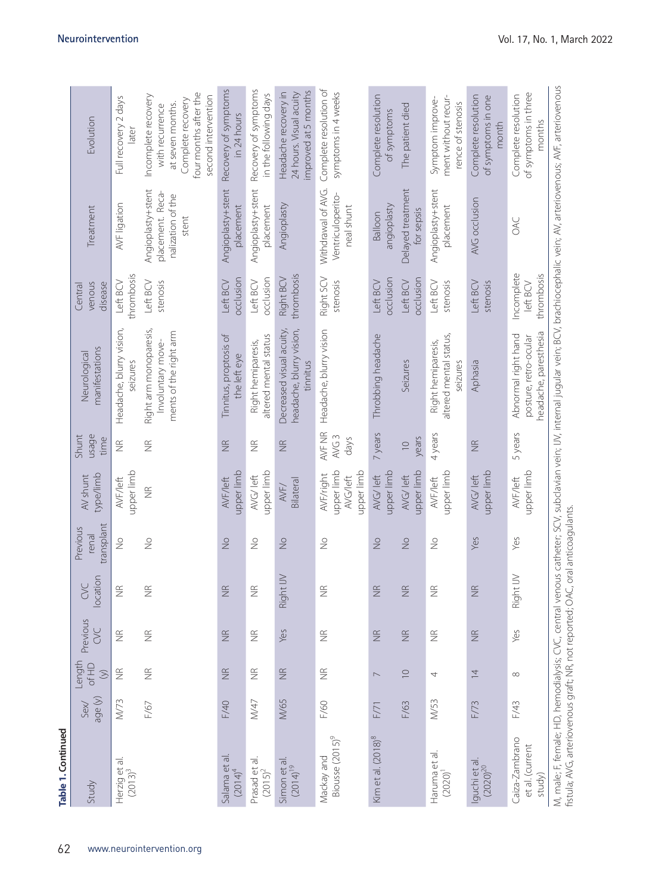| Table 1. Continued                          |                |                              |                   |                    |                                 |                                                          |                                    |                                                                                                                                                                                        |                                      |                                                                     |                                                                                                                                 |
|---------------------------------------------|----------------|------------------------------|-------------------|--------------------|---------------------------------|----------------------------------------------------------|------------------------------------|----------------------------------------------------------------------------------------------------------------------------------------------------------------------------------------|--------------------------------------|---------------------------------------------------------------------|---------------------------------------------------------------------------------------------------------------------------------|
| Study                                       | age (y)<br>Sex | Length<br>of HD<br>$\tag{5}$ | Previous<br>SC    | location<br>CVC    | transplant<br>Previous<br>renal | type/limb<br>AV shunt                                    | usage<br>Shunt<br>time             | manifestations<br>Neurological                                                                                                                                                         | venous<br>disease<br>Central         | Treatment                                                           | Evolution                                                                                                                       |
| Herzig et al.<br>(2013) <sup>3</sup>        | M/73           | $\widetilde{\Xi}$            | $\widetilde{\Xi}$ | $\frac{\alpha}{Z}$ | $\stackrel{\circ}{\geq}$        | upper limb<br>AVF/left                                   | $\widetilde{\Xi}$                  | Headache, blurry vision,<br>seizures                                                                                                                                                   | thrombosis<br>Left BCV               | AVF ligation                                                        | Full recovery 2 days<br>later                                                                                                   |
|                                             | F/67           | $\widetilde{\Xi}$            | $\widetilde{\Xi}$ | $\frac{\alpha}{2}$ | $\frac{1}{2}$                   | $\frac{\alpha}{2}$                                       | $\frac{\alpha}{2}$                 | Right arm monoparesis,<br>ments of the right arm<br>Involuntary move-                                                                                                                  | Left BCV<br>stenosis                 | Angioplasty+stent<br>placement. Reca-<br>nalization of the<br>stent | four months after the<br>Incomplete recovery<br>second intervention<br>Complete recovery<br>at seven months.<br>with recurrence |
| Salama et al.<br>$(2014)^4$                 | F/40           | $\widetilde{\Xi}$            | $\widetilde{\Xi}$ | $\widetilde{\Xi}$  | $\geq$                          | upper limb<br>AVF/left                                   | $\widetilde{\Xi}$                  | Tinnitus, proptosis of<br>the left eye                                                                                                                                                 | occlusion<br>Left BCV                | Angioplasty+stent<br>placement                                      | Recovery of symptoms<br>in 24 hours                                                                                             |
| Prasad et al.<br>(2015) <sup>2</sup>        | M/47           | $\widetilde{\Xi}$            | $\widetilde{\Xi}$ | $\frac{\alpha}{2}$ | $\geq$                          | upper limb<br>AVG/left                                   | $\frac{\alpha}{2}$                 | altered mental status<br>Right hemiparesis,                                                                                                                                            | occlusion<br>Left BCV                | Angioplasty+stent<br>placement                                      | Recovery of symptoms<br>in the following days                                                                                   |
| Simon et al<br>$(2014)^{19}$                | M/65           | $\widetilde{\Xi}$            | Yes               | Right IJV          | $\frac{1}{2}$                   | Bilateral<br>AVF/                                        | $\widetilde{\Xi}$                  | headache, blurry vision,<br>Decreased visual acuity,<br>tinnitus                                                                                                                       | thrombosis<br>Right BCV              | Angioplasty                                                         | improved at 5 months<br>Headache recovery in<br>24 hours. Visual acuity                                                         |
| Biousse (2015) <sup>9</sup><br>Mackay and   | F/60           | $\widetilde{\Xi}$            | $\widetilde{\Xi}$ | $\frac{\alpha}{2}$ | $\frac{1}{2}$                   | upper limb<br>upper limb<br><b>AVF/right</b><br>AVG/left | AVF NR<br>AVG <sub>3</sub><br>days | Headache, blurry vision                                                                                                                                                                | Right SCV<br>stenosis                | Withdrawal of AVG.<br>Ventriculoperito-<br>neal shunt               | Complete resolution of<br>symptoms in 4 weeks                                                                                   |
| Kim et al. (2018) <sup>8</sup>              | F/71           | $\overline{\phantom{0}}$     | $\widetilde{\Xi}$ | $\widetilde{\Xi}$  | $\frac{1}{2}$                   | upper limb<br>AVG/left                                   | 7 years                            | Throbbing headache                                                                                                                                                                     | occlusion<br>Left BCV                | angioplasty<br>Balloon                                              | Complete resolution<br>of symptoms                                                                                              |
|                                             | F/63           | $\supseteq$                  | $\widetilde{\Xi}$ | $\widetilde{\Xi}$  | $\geq$                          | upper limb<br>AVG/left                                   | years<br>$\supseteq$               | Seizures                                                                                                                                                                               | pcclusion<br>Left BCV                | Delayed treatment<br>for sepsis                                     | The patient died                                                                                                                |
| Haruma et al<br>$(2020)^{1}$                | M/53           | 4                            | $\widetilde{\Xi}$ | $\frac{\alpha}{2}$ | $\frac{1}{2}$                   | upper limb<br>AVF/left                                   | 4 years                            | altered mental status,<br>Right hemiparesis,<br>seizures                                                                                                                               | Left BCV<br>stenosis                 | Angioplasty+stent<br>placement                                      | ment without recur-<br>Symptom improve-<br>rence of stenosis                                                                    |
| Iguchi et al<br>$(2020)^{20}$               | F/73           | $\overline{4}$               | $\widetilde{\Xi}$ | $\frac{\alpha}{2}$ | Yes                             | upper limb<br>AVG/left                                   | $\frac{\alpha}{2}$                 | Aphasia                                                                                                                                                                                | Left BCV<br>stenosis                 | AVG occlusion                                                       | Complete resolution<br>of symptoms in one<br>month                                                                              |
| Caiza-Zambrano<br>et al. (current<br>study) | F/43           | $\infty$                     | Yes               | Right IJV          | Yes                             | upper limb<br>AVF/left                                   | 5 years                            | neadache, paresthesia<br>Abnormal right hand<br>posture, retro-ocular                                                                                                                  | Incomplete<br>thrombosis<br>left BCV | SAC                                                                 | of symptoms in three<br>Complete resolution<br>months                                                                           |
|                                             |                |                              |                   |                    |                                 |                                                          |                                    | M, male; F, female; HD, hemodialysis; CVC, central venous catheter; SCV, subclavian vein; JVJ, internal jugular vein; BCV, brachiocephalic vein; AV, arteriovenous; AVF, arteriovenous |                                      |                                                                     |                                                                                                                                 |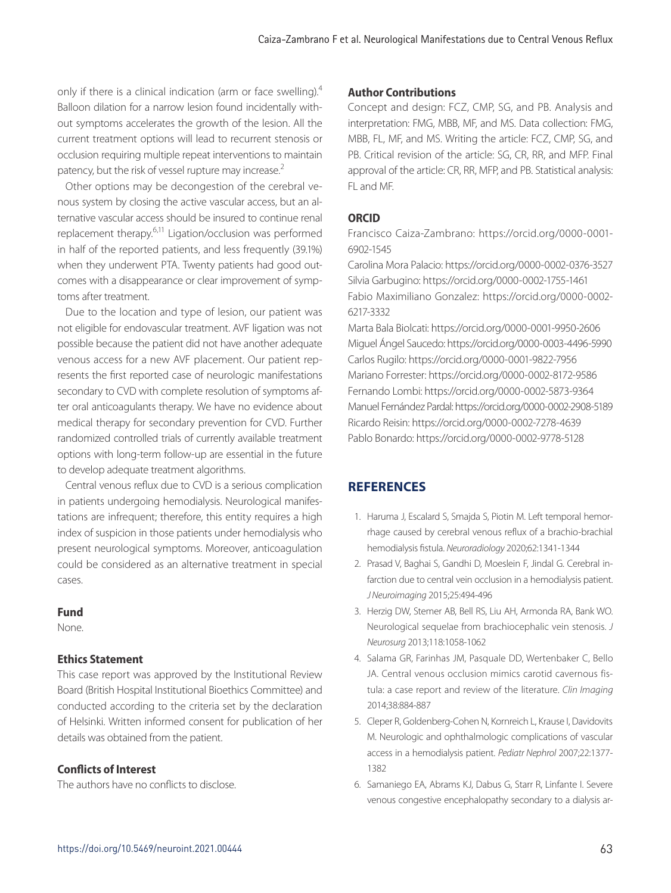only if there is a clinical indication (arm or face swelling).4 Balloon dilation for a narrow lesion found incidentally without symptoms accelerates the growth of the lesion. All the current treatment options will lead to recurrent stenosis or occlusion requiring multiple repeat interventions to maintain patency, but the risk of vessel rupture may increase.<sup>2</sup>

Other options may be decongestion of the cerebral venous system by closing the active vascular access, but an alternative vascular access should be insured to continue renal replacement therapy.<sup>6,11</sup> Ligation/occlusion was performed in half of the reported patients, and less frequently (39.1%) when they underwent PTA. Twenty patients had good outcomes with a disappearance or clear improvement of symptoms after treatment.

Due to the location and type of lesion, our patient was not eligible for endovascular treatment. AVF ligation was not possible because the patient did not have another adequate venous access for a new AVF placement. Our patient represents the first reported case of neurologic manifestations secondary to CVD with complete resolution of symptoms after oral anticoagulants therapy. We have no evidence about medical therapy for secondary prevention for CVD. Further randomized controlled trials of currently available treatment options with long-term follow-up are essential in the future to develop adequate treatment algorithms.

Central venous reflux due to CVD is a serious complication in patients undergoing hemodialysis. Neurological manifestations are infrequent; therefore, this entity requires a high index of suspicion in those patients under hemodialysis who present neurological symptoms. Moreover, anticoagulation could be considered as an alternative treatment in special cases.

### **Fund**

None.

# **Ethics Statement**

This case report was approved by the Institutional Review Board (British Hospital Institutional Bioethics Committee) and conducted according to the criteria set by the declaration of Helsinki. Written informed consent for publication of her details was obtained from the patient.

# **Conflicts of Interest**

The authors have no conflicts to disclose.

# **Author Contributions**

Concept and design: FCZ, CMP, SG, and PB. Analysis and interpretation: FMG, MBB, MF, and MS. Data collection: FMG, MBB, FL, MF, and MS. Writing the article: FCZ, CMP, SG, and PB. Critical revision of the article: SG, CR, RR, and MFP. Final approval of the article: CR, RR, MFP, and PB. Statistical analysis: FL and MF.

# **ORCID**

Francisco Caiza-Zambrano: https://orcid.org/0000-0001- 6902-1545

Carolina Mora Palacio: https://orcid.org/0000-0002-0376-3527 Silvia Garbugino: https://orcid.org/0000-0002-1755-1461 Fabio Maximiliano Gonzalez: https://orcid.org/0000-0002- 6217-3332

Marta Bala Biolcati: https://orcid.org/0000-0001-9950-2606 Miguel Ángel Saucedo: https://orcid.org/0000-0003-4496-5990 Carlos Rugilo: https://orcid.org/0000-0001-9822-7956 Mariano Forrester: https://orcid.org/0000-0002-8172-9586 Fernando Lombi: https://orcid.org/0000-0002-5873-9364 Manuel Fernández Pardal: https://orcid.org/0000-0002-2908-5189 Ricardo Reisin: https://orcid.org/0000-0002-7278-4639 Pablo Bonardo: https://orcid.org/0000-0002-9778-5128

# **REFERENCES**

- 1. Haruma J, Escalard S, Smajda S, Piotin M. Left temporal hemorrhage caused by cerebral venous reflux of a brachio-brachial hemodialysis fistula. *Neuroradiology* 2020;62:1341-1344
- 2. Prasad V, Baghai S, Gandhi D, Moeslein F, Jindal G. Cerebral infarction due to central vein occlusion in a hemodialysis patient. *J Neuroimaging* 2015;25:494-496
- 3. Herzig DW, Stemer AB, Bell RS, Liu AH, Armonda RA, Bank WO. Neurological sequelae from brachiocephalic vein stenosis. *J Neurosurg* 2013;118:1058-1062
- 4. Salama GR, Farinhas JM, Pasquale DD, Wertenbaker C, Bello JA. Central venous occlusion mimics carotid cavernous fistula: a case report and review of the literature. *Clin Imaging* 2014;38:884-887
- 5. Cleper R, Goldenberg-Cohen N, Kornreich L, Krause I, Davidovits M. Neurologic and ophthalmologic complications of vascular access in a hemodialysis patient. *Pediatr Nephrol* 2007;22:1377- 1382
- 6. Samaniego EA, Abrams KJ, Dabus G, Starr R, Linfante I. Severe venous congestive encephalopathy secondary to a dialysis ar-